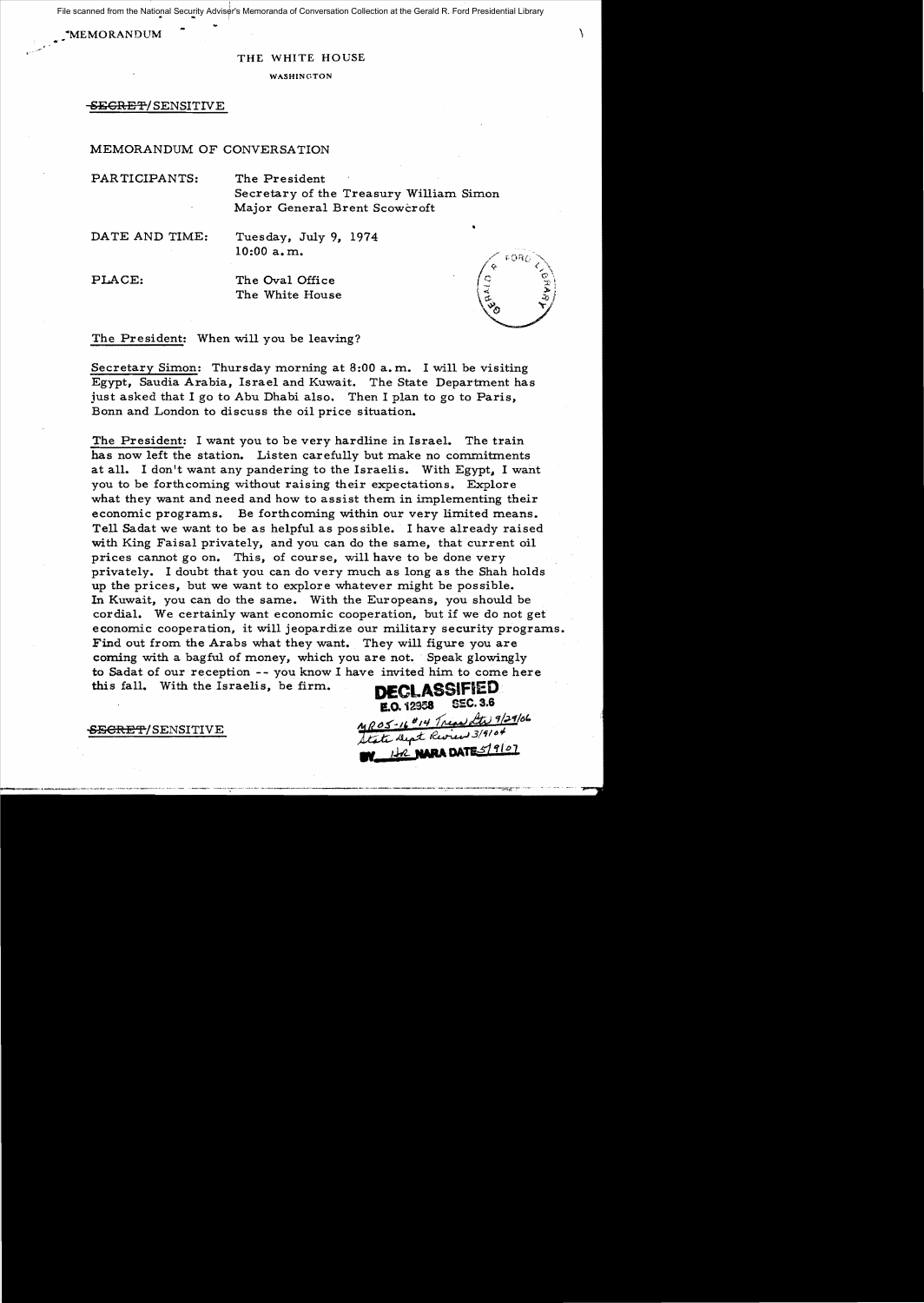File scanned from the National Security Adviser's Memoranda of Conversation Collection at the Gerald R. Ford Presidential Library

WEMORANDUM  $\sim$ 

, >

## THE WHITE HOUSE

#### WASHINGTON

-BECRE'¥/SENSITIVE

# MEMORANDUM OF CONVERSATION

PARTICIPANTS: The President

Secretary of the Treasury William Simon Major General Brent Scowcroft

DATE AND TIME: Tuesday, July 9, 1974 10:00 a. m.

PLACE: The Oval Office The White House



The President: When will you be leaving?

Secretary Simon: Thursday morning at 8:00 a. m. I will be visiting Egypt, Saudia Arabia, Israel and Kuwait. The State Department has just asked that I go to Abu Dhabi also. Then I plan to go to Paris, Bonn and London to discuss the oil price situation.

The President: I want you to be very hardline in Israel. The train has now left the station. Listen carefully but make no commitments at all. I don't want any pandering to the Israelis. With Egypt, I want you to be forthcoming without raising their expectations. Explore what they want and need and how to assist them in implementing their economic programs. Be forthcoming within our very limited means. Tell Sadat we want to be as helpful as possible. I have already raised with King Faisal privately, and you can do the same, that current oil prices cannot go on. This, of course, will have to be done very privately. I doubt that you can do very much as long as the Shah holds up the prices, but we want to explore whatever might be possible. In Kuwait, you can do the same. With the Europeans, you should be cordial. We certainly want economic cooperation, but if we do not get economic cooperation, it will jeopardize our military security programs. Find out from the Arabs what they want. They will figure you are coming with a bagful of money, which you are not. Speak glowingly to Sadat of our reception - - you know I have invited him to come here this fall. With the Israelis, be firm. **DECLASSIFIED** 

**E.O. 12958** SEC. 3.6<br><u>MROS-16<sup>0</sup>14 Tread Ltd</u> 9/29/06

State Dept Review 3/9104 NATES19101

SE<del>CRET</del>/SENSITIVE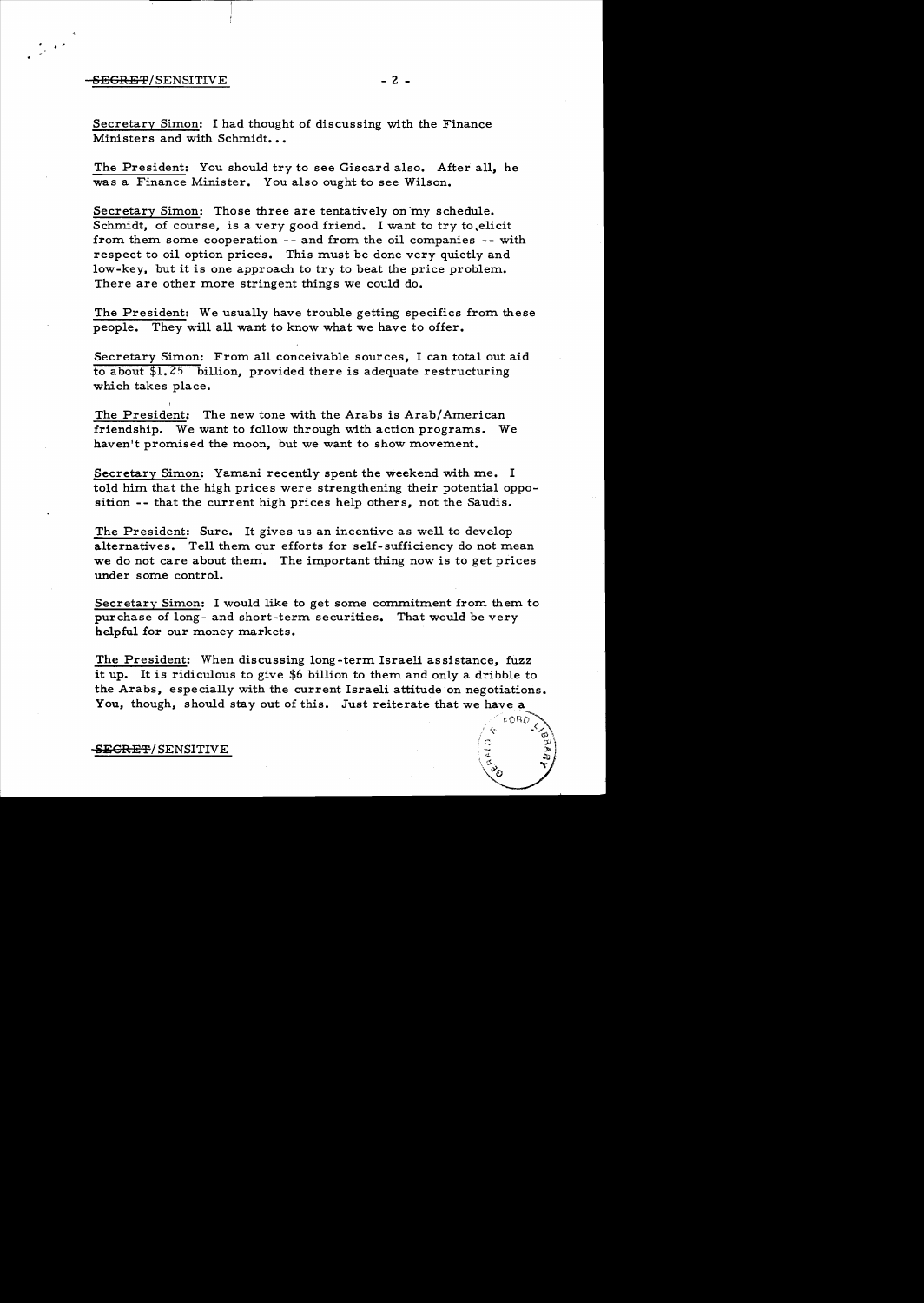### SEGRET/SENSITIVE - 2 -

·'

Secretary Simon: I had thought of discussing with the Finance Ministers and with Schmidt...

The President: You should try to see Giscard also. After all, he was a Finance Minister. You also ought to see Wilson.

Secretary Simon: Those three are tentatively on'my schedule. Schmidt, of course, is a very good friend. I want to try to ,elicit from them some cooperation -- and from the oil companies -- with respect to oil option prices. This must be done very quietly and low-key, but it is one approach to try to beat the price problem. There are other more stringent things we could do.

The President: We usually have trouble getting specifics from these people. They will all want to know what we have to offer.

Secretary Simon: From all conceivable sources, I can total out aid to about  $$1,25$  billion, provided there is adequate restructuring which takes place.

The President: The new tone with the Arabs is Arab/American friendship. We want to follow through with action programs. We haven't promised the moon, but we want to show movement.

Secretary Simon: Yamani recently spent the weekend with me. I told him that the high prices were strengthening their potential opposition **--** that the current high prices help others, not the Saudis.

The President: Sure. It gives us an incentive as well to develop alternatives. Tell them our efforts for self-sufficiency do not mean we do not care about them. The important thing now is to get prices under some control.

Secretary Simon: I would like to get some commitment from them to purchase of long- and short-term securities. That would be very helpful for our money markets.

The President: When discussing long-term Israeli assistance, fuzz it up. It is ridiculous to give \$6 billion to them and only a dribble to the Arabs, especially with the current Israeli attitude on negotiations. You, though, should stay out of this. Just reiterate that we have a

 $\sqrt{e^{-\text{pOBD}}\sum_{k=1}^{N}}$ 

# SECRET/SENSITIVE  $\begin{pmatrix} \frac{3}{4} & \frac{3}{2} \\ \frac{3}{4} & \frac{3}{2} \end{pmatrix}$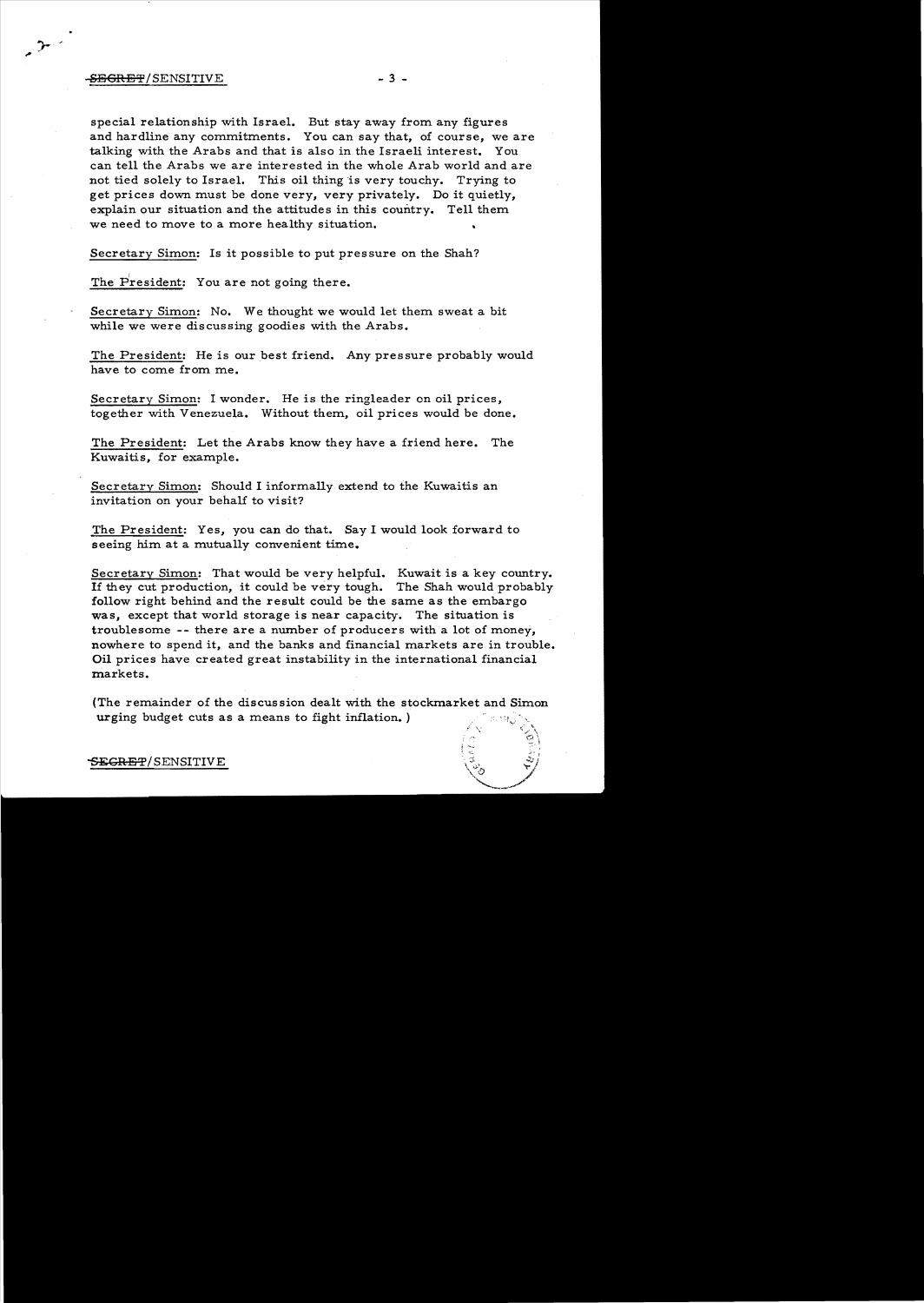# -SEGRET/SENSITIVE - 3 -

 $\rightarrow$ 

special relationship with Israel. But stay away from any figures and hardline any commitments. You can say that, of course, we are talking with the Arabs and that is also in the Israeli interest. You can tell the Arabs we are interested in the whole Arab world and are not tied solely to Israel. This oil thing is very touchy. Trying to get prices down must be done very, very privately. Do it quietly, explain our situation and the attitudes in this country. Tell them we need to move to a more healthy situation.

Secretary Simon: Is it possible to put pressure on the Shah?

The President: You are not going there.

Secretary Simon: No. We thought we would let them sweat a bit while we were discussing goodies with the Arabs.

The President: He is our best friend. Any pressure probably would have to come from me.

Secretary Simon: I wonder. He is the ringleader on oil prices, together with Venezuela. Without them, oil prices would be done.

The President: Let the Arabs know they have a friend here. The Kuwaitis, for example.

Secretary Simon: Should I informally extend to the Kuwaitis an invitation on your behalf to visit?

The President: Yes, you can do that. Say I would look forward to seeing him at a mutually convenient time.

Secretary Simon: That would be very helpful. Kuwait is a key country. If they cut production, it could be very tough. The Shah would probably follow right behind and the result could be the same as the embargo was, except that world storage is near capacity. The situation is troublesome -- there are a number of producers with a lot of money, nowhere to spend it, and the banks and financial markets are in trouble. **Oil** prices have created great instability in the international financial markets.

(The remainder of the discussion dealt with the stockmarket and Simon urging budget cuts as a means to fight inflation.)

 $\tt{SEGREF/SENSITIVE}$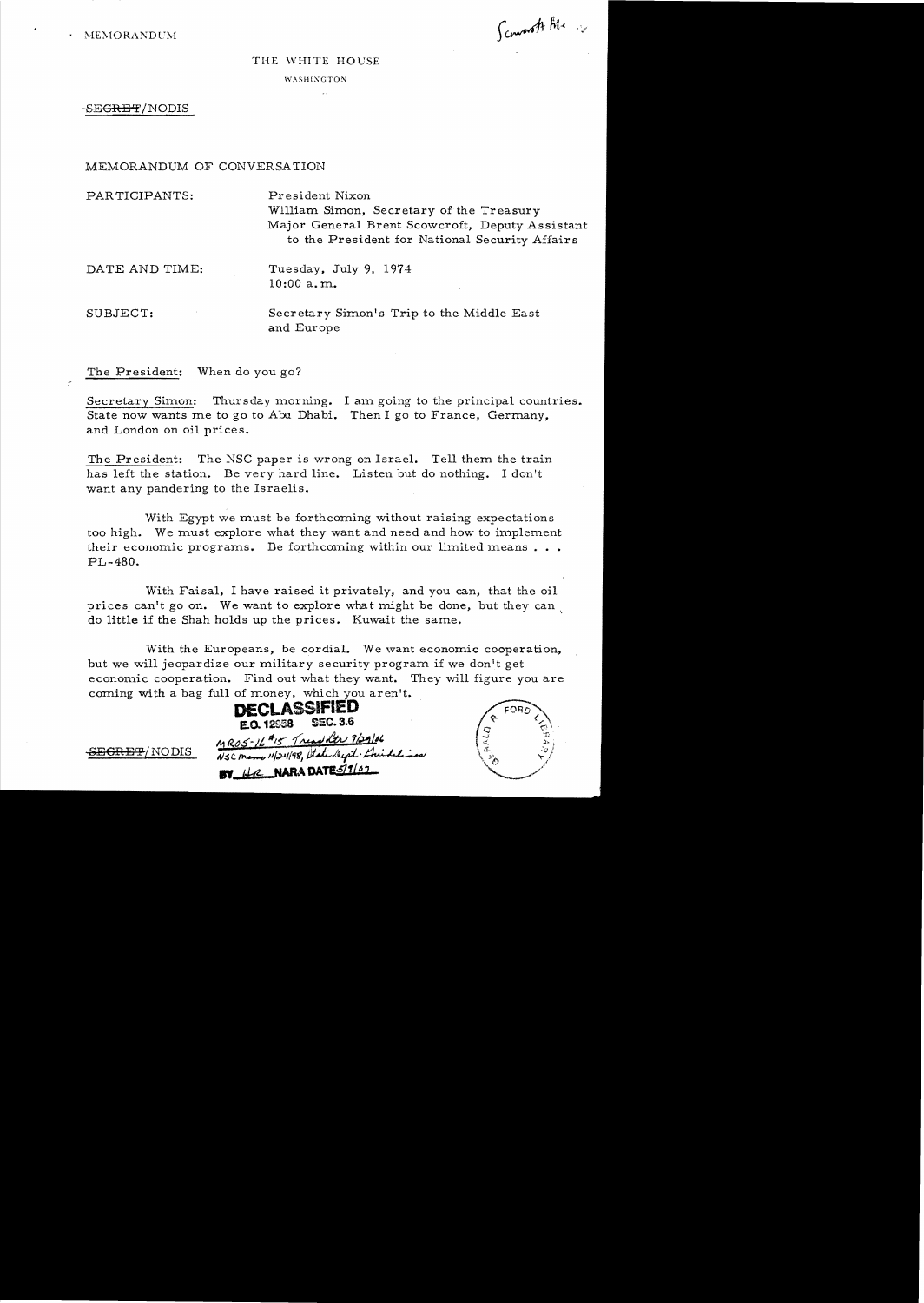$\cdot$  MEMORANDUM

Scoworth Ale 2

#### THE WHITE HOUSE

WASHINGTON

SEGRET/NODIS

MEMORANDUM OF CONVERSATION

PARTICIPANTS: President Nixon William Simon, Secretary of the Treasury Major General Brent Scowcroft, Deputy Assistant to the President for National Security Affairs DATE AND TIME: Tuesday, July 9, 1974 10:00 a. m. SUBJECT: Secretary Simon's Trip to the Middle East and Europe

The President: When do you go?

Secretary Simon: Thursday morning. I am going to the principal countries. State now wants me to go to Abu Dhabi. Then I go to France, Germany, and London on oil prices.

The President: The NSC paper is wrong on Israel. Tell them the train has left the station. Be very hard line. Listen but do nothing. I don't want any pandering to the Israelis.

With Egypt we must be forthcoming without raising expectations too high. We must explore what they want and need and how to implement their economic programs. Be forthcoming within our limited means  $\ldots$  $PI - 480.$ 

With Faisa1, I have raised it privately, and you can, that the oil prices can't go on. We want to explore what might be done, but they can do little if the Shah holds up the prices. Kuwait the same.

With the Europeans, be cordial. We want economic cooperation, but we will jeopardize our military security program if we don't get economic cooperation. Find out what they want. They will figure you are coming with a bag full of money, which you aren't.

**DECLASSifIED 1:.0.12958 S5C.3.6**   $MRS5-16$ <sup>#15</sup> Tread htr 9/29/06 SEGRET/NODIS NSC memo 11/24/98, State Sept. Duidelines **BY** He NARA DATES/1/67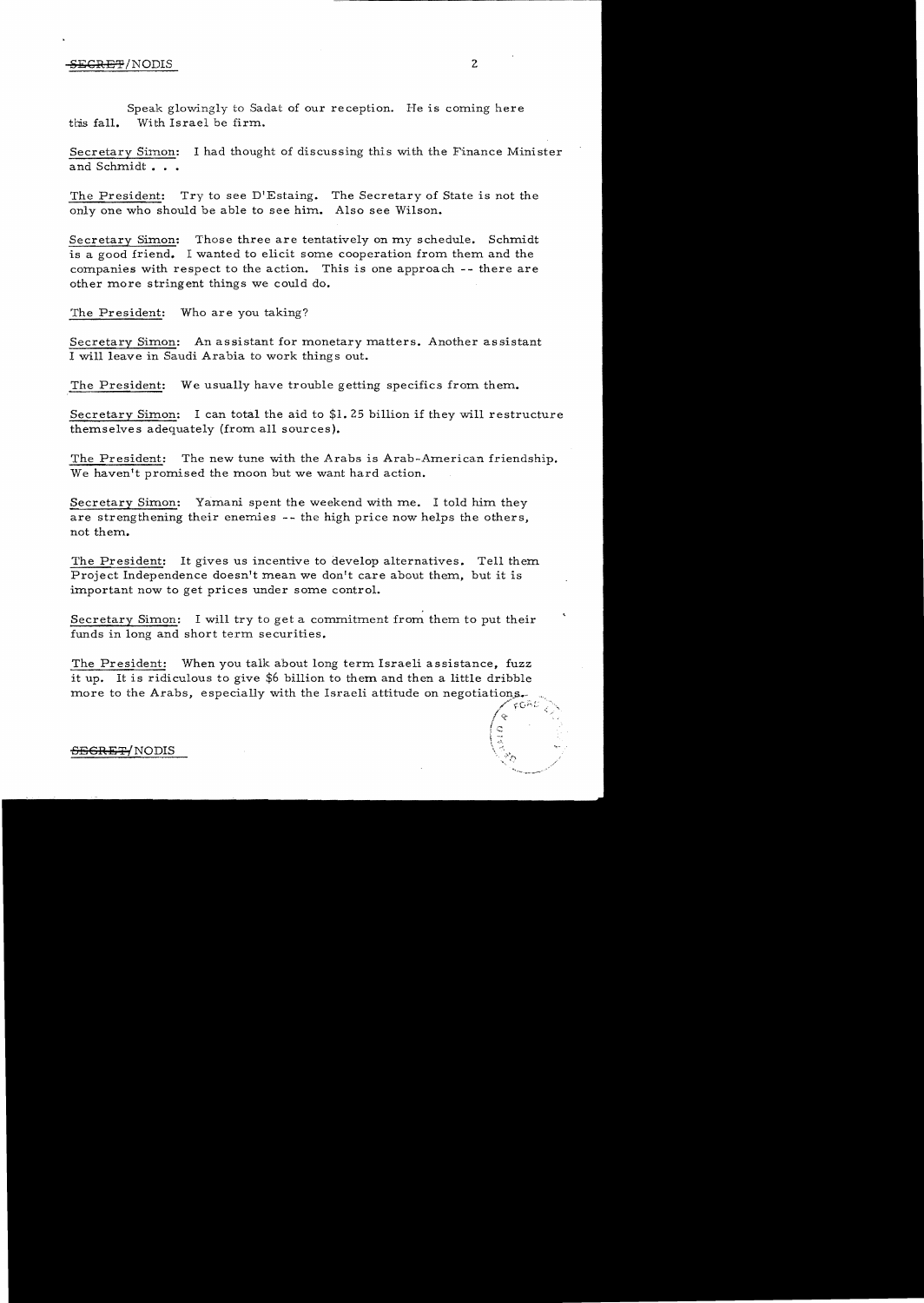# S<del>ECRET</del>/NODIS 2

Speak glowingly to Sadat of our reception. He is coming here tbis fall. With Israel be firm..

Secretary Simon: I had thought of discussing this with the Finance Minister and Schmidt. . .

The President: Try to see D'Estaing. The Secretary of State is not the only one who should he able to see him.. Also see Wilson.

Secretary Simon: Those three are tentatively on my schedule. Schmidt is a good friend. I wanted to elicit some cooperation from them and the companies with respect to the action. This is one approach -- there are other more stringent things we could do.

The President: Who are you taking?

Secretary Simon: An assistant for monetary matters. Another assistant I will leave in Saudi Arabia to work things out.

The President: We usually have trouble getting specifics from them.

Secretary Simon: I can total the aid to  $$1.25$  billion if they will restructure themselves adequately (from all sources).

The President: The new tune with the Arabs is Arab-American friendship. We haven't promised the moon but we want hard action.

Secretary Simon: Yamani spent the weekend with me. I told him they are strengthening their enemies -- the high price now helps the others, not them..

The President: It gives us incentive to develop alternatives. Tell them Project Independence doesn't mean we don't care about them, but it is important now to get prices under some control.

Secretary Simon: I will try to get a commitment from them to put their funds in long and short term securities.

The President: When you talk about long term Israeli assistance, fuzz it up. It is ridiculous to give \$6 billion to them. and then a little dribble more to the Arabs, especially with the Israeli attitude on negotiations.

### $-$ <del>OEGRET</del>/NODIS

 $\sqrt{\alpha}$  '  $\sqrt{\alpha}$ 

,  $I\subset \mathord{\hspace{1pt}\text{--}\hspace{1pt}}$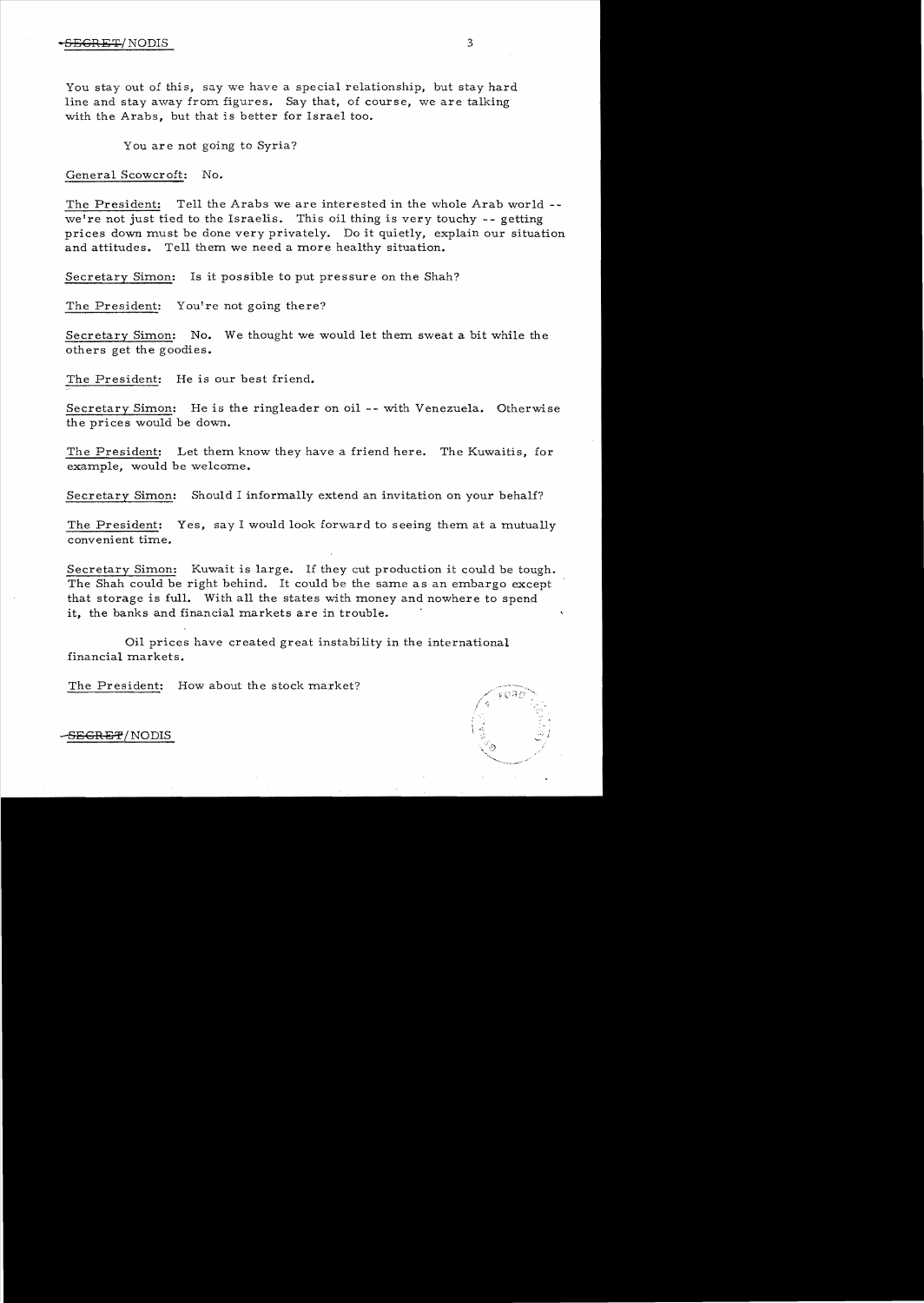You stay out of this, say we have a special relationship, but stay hard line and stay away from figures. Say that, of course, we are talking with the Arabs, but that is better for Israel too.

You are not going to Syria?

General Scowcroft: No.

The President: Tell the Arabs we are interested in the whole Arab world. we're not just tied to the Israelis. This oil thing is very touchy  $-$ -getting prices down must be done very privately. Do it quietly, explain our situation and attitudes. Tell them we need a more healthy situation.

Secretary Simon: Is it possible to put pressure on the Shah?

The President: You're not going there?

Secretary Simon: No. We thought we would let them sweat a bit while the others get the goodies.

The President: He is our best friend.

Secretary Simon: He is the ringleader on oil -- with Venezuela. Otherwise the prices would be down.

The President: Let them know they have a friend here. The Kuwaitis, for example, would be welcome.

Secretary Simon: Should I informally extend an invitation on your behalf?

The President: Yes, say I would look forward to seeing them at a mutually convenient time.

Secretary Simon: Kuwait is large. If they cut production it could be tough. The Shah could be right behind. It could be the same as an embargo except that storage is full. With all the states with money and nowhere to spend it, the banks and financial markets are in trouble.

Oil prices have created great instability in the international financial markets.

The President: How about the stock market?



-S<del>EGRET</del>/NODIS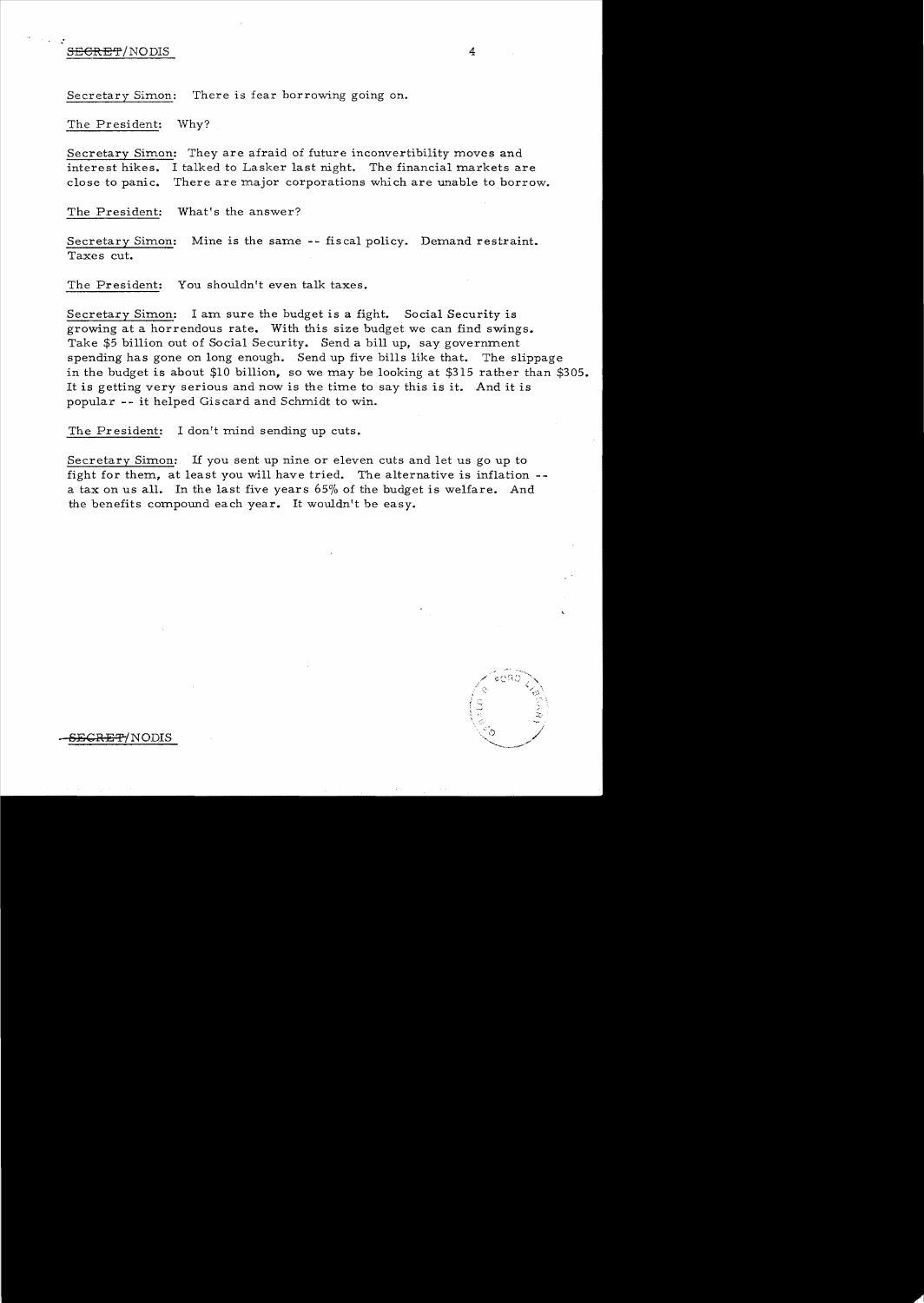# SECRET/NODIS 4

Secretary Simon: There is fear borrowing going on.

The President: Why?

Secretary Simon: They are afraid of future inconvertibility moves and interest hikes. I talked to Lasker last night. The financial markets are close to panic. There are major corporations which are unable to borrow.

The President: What's the answer?

Secretary Simon: Mine is the same -- fiscal policy. Demand restraint. Taxes cut.

The President: You shouldn't even talk taxes.

Secretary Simon: I am sure the budget is a fight. Social Security is growing at a horrendous rate. With this size budget we can find swings. Take \$5 billion out of Social Security. Send a bill up, say government spending has gone on long enough. Send up five bills like that. The slippage in the budget is about \$10 billion, so we may be looking at \$315 rather than \$305. It is getting very serious and now is the time to say this is it. And it is popular -- it helped Giscard and Schmidt to win.

The President: I don't mind sending up cuts.

Secretary Simon: If you sent up nine or eleven cuts and let us go up to fight for them, at least you will have tried. The alternative is inflation a tax on us all. In the last five years 65% of the budget is welfare. And the benefits compound each year. It wouldn't be easy.



<del>RET</del>/NODIS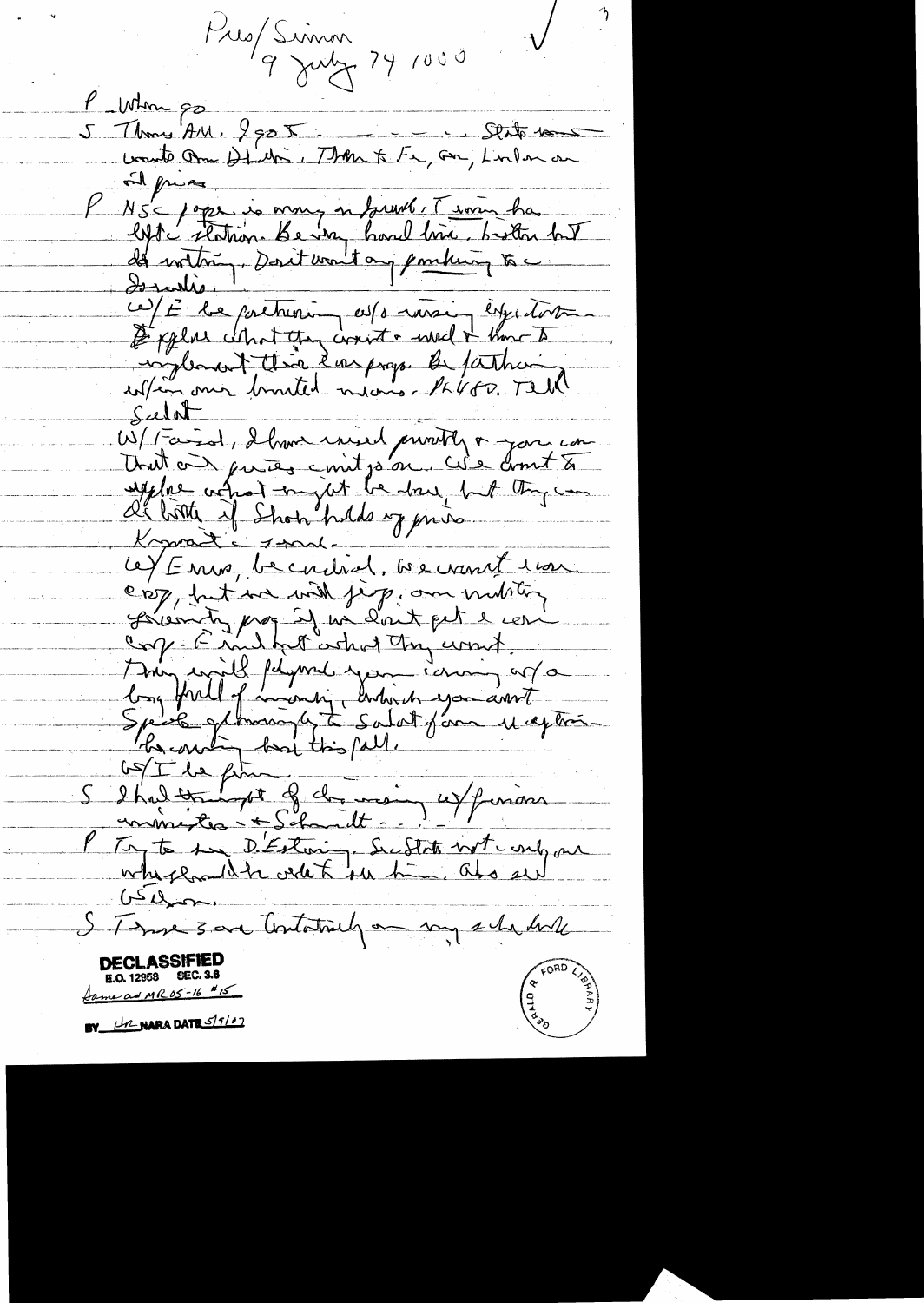Pres/Simon<br>9 July 74 1000

P Whom go 5 Thoms AM, 2505 - - - Stito 100 ind price P NS = pope is mong on town le T imm has<br>lefte station. Be very hard love button but<br>des worton, Dorit want any ponting to Ce) E le poetrement essex mois espectat Sudat W/ Farial, I have init je motte a gar com Knowant - 1 malce/ Enra, becaused, becamet room est, but we will jeep, on multing Serventy prop if we don't get a con-<br>any Emillot what they comet.<br>They will fayered you come of a Condette filme of dernier unions P Try to sure D'Estoin, Subtite not une par  $LSL_{2n+1}$ S. There 3 are Containely on my schedule **DECLASSIFIE** E.O. 12958 SEC. 3.8 A D D A D A BY H2 NARA DATE 5/1/07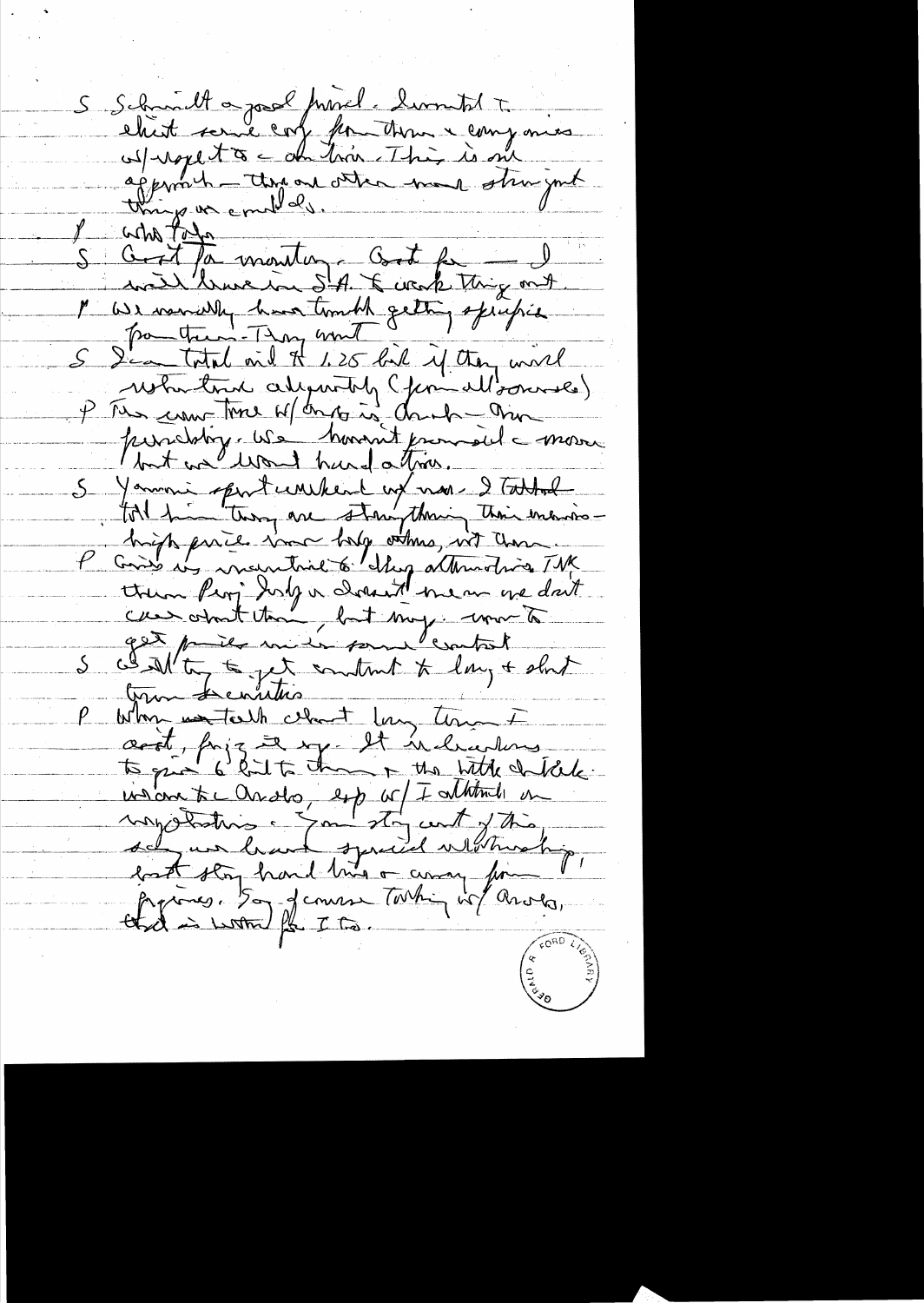S Schmitt a parl fried : liventil +<br>elisit some conformation + componers<br>uspromh - thrown other man strugged I with todo<br>S Good for monter, Good for J<br>1 We would have touch thing out of who take 5 Sig total and H 1.25 live if they will restortant algentity (formallonnes) P Tes com-time of deposit dank - mo parabitiq. We hundred francs del mon 5 Yammi spirit unikend en mais 2 Tattol get puilt mile some leasted challter to get control to lay + shit Why wantalk clast lay ton I and forze a sy. It is little diffile.<br>To give 6 hits than + the little diffile.<br>undown to anoto, by we I within in<br>any distribution of the man from prime to design that stay hand lines or away from prime to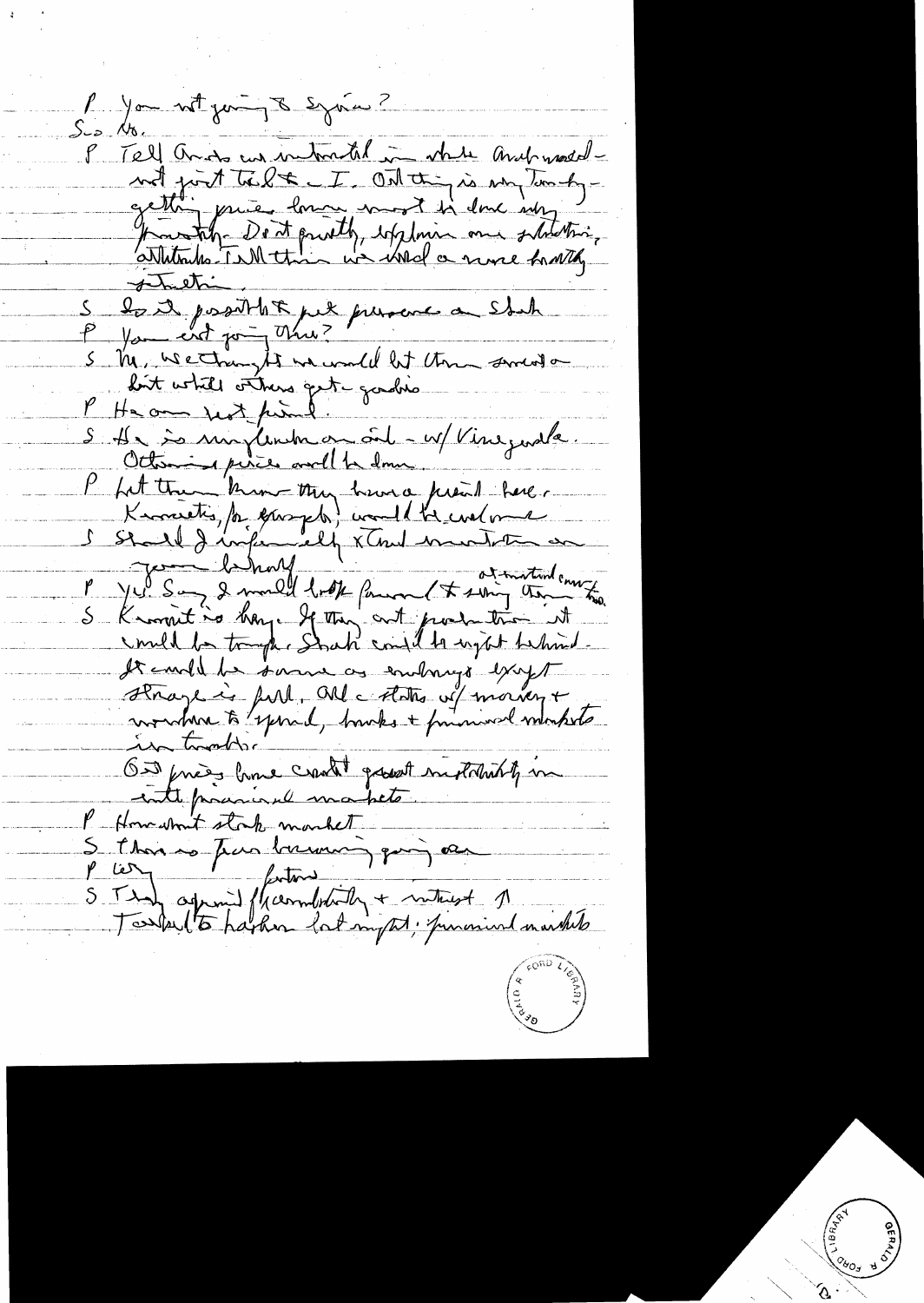P you not juin 8 syries ? P Tell and us intratal in white and watchnot just télet. I Ont this is my tom bygette pries low word in donc any to the form of the district of the same function. 5 M, wechangts mundel let them sment on loit while others get gadrie S 11 = minimum au oît - w/ Vineguale. P fit trou kim try heure prent here. S Stall I informally x That were to the most of It could be some as emborigo except Hrage is full, Olle Arts vil moinent On friends could growth reductions of me